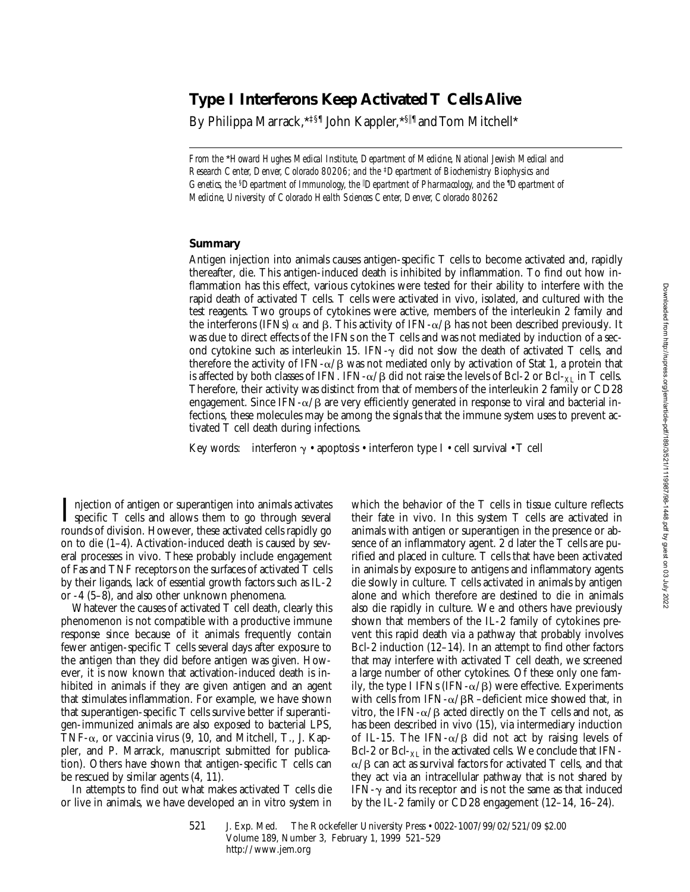# **Type I Interferons Keep Activated T Cells Alive**

By Philippa Marrack, \*<sup>द</sup> John Kappler, \*§<sup>||¶</sup> and Tom Mitchell\*

*From the* \**Howard Hughes Medical Institute, Department of Medicine, National Jewish Medical and Research Center, Denver, Colorado 80206; and the* ‡*Department of Biochemistry Biophysics and Genetics, the* <sup>§</sup>*Department of Immunology, the* <sup>*I*</sup>Department of Pharmacology, and the <sup>*I*</sup>Department of *Medicine, University of Colorado Health Sciences Center, Denver, Colorado 80262*

### **Summary**

Antigen injection into animals causes antigen-specific T cells to become activated and, rapidly thereafter, die. This antigen-induced death is inhibited by inflammation. To find out how inflammation has this effect, various cytokines were tested for their ability to interfere with the rapid death of activated T cells. T cells were activated in vivo, isolated, and cultured with the test reagents. Two groups of cytokines were active, members of the interleukin 2 family and the interferons (IFNs)  $\alpha$  and  $\beta$ . This activity of IFN- $\alpha/\beta$  has not been described previously. It was due to direct effects of the IFNs on the T cells and was not mediated by induction of a second cytokine such as interleukin 15. IFN- $\gamma$  did not slow the death of activated T cells, and therefore the activity of IFN- $\alpha/\beta$  was not mediated only by activation of Stat 1, a protein that is affected by both classes of IFN. IFN- $\alpha$ / $\beta$  did not raise the levels of Bcl-2 or Bcl-<sub>XL</sub> in T cells. Therefore, their activity was distinct from that of members of the interleukin 2 family or CD28 engagement. Since IFN- $\alpha$ / $\beta$  are very efficiently generated in response to viral and bacterial infections, these molecules may be among the signals that the immune system uses to prevent activated T cell death during infections.

Key words: interferon  $\gamma \cdot$  apoptosis  $\cdot$  interferon type I  $\cdot$  cell survival  $\cdot$  T cell

I njection of antigen or superantigen into animals activates<br>specific T cells and allows them to go through several<br>results of division Harvaura these activated sells maidly go rounds of division. However, these activated cells rapidly go on to die (1–4). Activation-induced death is caused by several processes in vivo. These probably include engagement of Fas and TNF receptors on the surfaces of activated T cells by their ligands, lack of essential growth factors such as IL-2 or -4 (5–8), and also other unknown phenomena.

Whatever the causes of activated T cell death, clearly this phenomenon is not compatible with a productive immune response since because of it animals frequently contain fewer antigen-specific T cells several days after exposure to the antigen than they did before antigen was given. However, it is now known that activation-induced death is inhibited in animals if they are given antigen and an agent that stimulates inflammation. For example, we have shown that superantigen-specific T cells survive better if superantigen-immunized animals are also exposed to bacterial LPS, TNF- $\alpha$ , or vaccinia virus (9, 10, and Mitchell, T., J. Kappler, and P. Marrack, manuscript submitted for publication). Others have shown that antigen-specific T cells can be rescued by similar agents (4, 11).

In attempts to find out what makes activated T cells die or live in animals, we have developed an in vitro system in

which the behavior of the T cells in tissue culture reflects their fate in vivo. In this system T cells are activated in animals with antigen or superantigen in the presence or absence of an inflammatory agent. 2 d later the T cells are purified and placed in culture. T cells that have been activated in animals by exposure to antigens and inflammatory agents die slowly in culture. T cells activated in animals by antigen alone and which therefore are destined to die in animals also die rapidly in culture. We and others have previously shown that members of the IL-2 family of cytokines prevent this rapid death via a pathway that probably involves Bcl-2 induction (12–14). In an attempt to find other factors that may interfere with activated T cell death, we screened a large number of other cytokines. Of these only one family, the type I IFNs (IFN- $\alpha$ / $\beta$ ) were effective. Experiments with cells from IFN- $\alpha$ / $\beta$ R–deficient mice showed that, in vitro, the IFN- $\alpha$ / $\beta$  acted directly on the T cells and not, as has been described in vivo (15), via intermediary induction of IL-15. The IFN- $\alpha/\beta$  did not act by raising levels of Bcl-2 or Bcl- $_{\text{XI}}$  in the activated cells. We conclude that IFN- $\alpha/\beta$  can act as survival factors for activated T cells, and that they act via an intracellular pathway that is not shared by IFN- $\gamma$  and its receptor and is not the same as that induced by the IL-2 family or CD28 engagement (12–14, 16–24).

521 J. Exp. Med. © The Rockefeller University Press • 0022-1007/99/02/521/09 \$2.00 Volume 189, Number 3, February 1, 1999 521–529 http://www.jem.org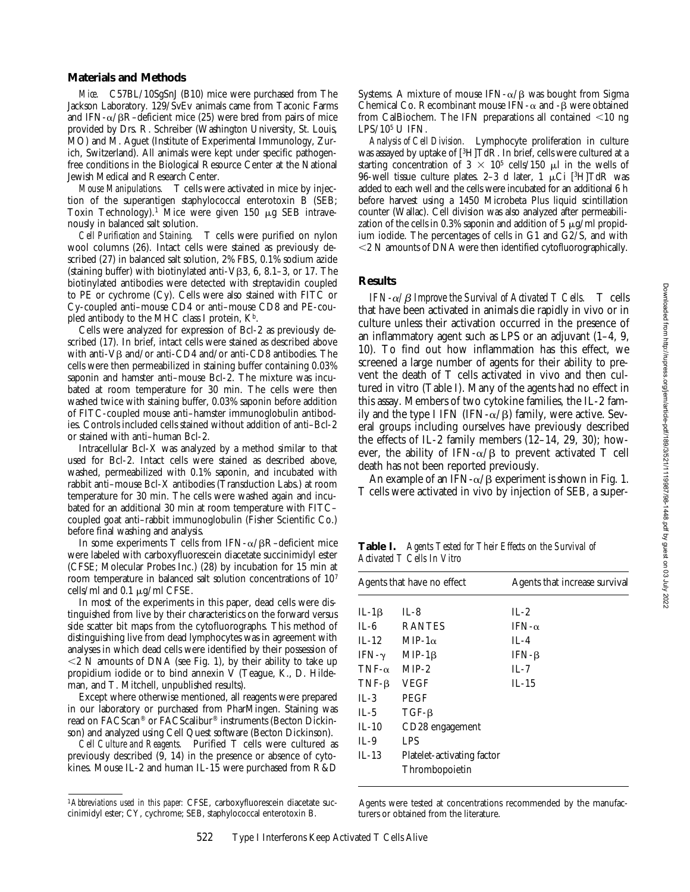#### **Materials and Methods**

*Mice.* C57BL/10SgSnJ (B10) mice were purchased from The Jackson Laboratory. 129/SvEv animals came from Taconic Farms and IFN- $\alpha$ / $\beta$ R–deficient mice (25) were bred from pairs of mice provided by Drs. R. Schreiber (Washington University, St. Louis, MO) and M. Aguet (Institute of Experimental Immunology, Zurich, Switzerland). All animals were kept under specific pathogenfree conditions in the Biological Resource Center at the National Jewish Medical and Research Center.

*Mouse Manipulations.* T cells were activated in mice by injection of the superantigen staphylococcal enterotoxin B (SEB; Toxin Technology).<sup>1</sup> Mice were given 150  $\mu$ g SEB intravenously in balanced salt solution.

*Cell Purification and Staining.* T cells were purified on nylon wool columns (26). Intact cells were stained as previously described (27) in balanced salt solution, 2% FBS, 0.1% sodium azide (staining buffer) with biotinylated anti- $V\beta3$ , 6, 8.1–3, or 17. The biotinylated antibodies were detected with streptavidin coupled to PE or cychrome (Cy). Cells were also stained with FITC or Cy-coupled anti–mouse CD4 or anti–mouse CD8 and PE-coupled antibody to the MHC class I protein,  $K^b$ .

Cells were analyzed for expression of Bcl-2 as previously described (17). In brief, intact cells were stained as described above with anti- $V\beta$  and/or anti-CD4 and/or anti-CD8 antibodies. The cells were then permeabilized in staining buffer containing 0.03% saponin and hamster anti–mouse Bcl-2. The mixture was incubated at room temperature for 30 min. The cells were then washed twice with staining buffer, 0.03% saponin before addition of FITC-coupled mouse anti–hamster immunoglobulin antibodies. Controls included cells stained without addition of anti–Bcl-2 or stained with anti–human Bcl-2.

Intracellular Bcl-X was analyzed by a method similar to that used for Bcl-2. Intact cells were stained as described above, washed, permeabilized with 0.1% saponin, and incubated with rabbit anti–mouse Bcl-X antibodies (Transduction Labs.) at room temperature for 30 min. The cells were washed again and incubated for an additional 30 min at room temperature with FITC– coupled goat anti–rabbit immunoglobulin (Fisher Scientific Co.) before final washing and analysis.

In some experiments T cells from IFN- $\alpha$ / $\beta$ R–deficient mice were labeled with carboxyfluorescein diacetate succinimidyl ester (CFSE; Molecular Probes Inc.) (28) by incubation for 15 min at room temperature in balanced salt solution concentrations of 107 cells/ml and  $0.1 \mu g/ml$  CFSE.

In most of the experiments in this paper, dead cells were distinguished from live by their characteristics on the forward versus side scatter bit maps from the cytofluorographs. This method of distinguishing live from dead lymphocytes was in agreement with analyses in which dead cells were identified by their possession of  $\leq$  2 N amounts of DNA (see Fig. 1), by their ability to take up propidium iodide or to bind annexin V (Teague, K., D. Hildeman, and T. Mitchell, unpublished results).

Except where otherwise mentioned, all reagents were prepared in our laboratory or purchased from PharMingen. Staining was read on FACScan® or FACScalibur® instruments (Becton Dickinson) and analyzed using Cell Quest software (Becton Dickinson).

*Cell Culture and Reagents.* Purified T cells were cultured as previously described (9, 14) in the presence or absence of cytokines. Mouse IL-2 and human IL-15 were purchased from R&D

Systems. A mixture of mouse IFN- $\alpha$ / $\beta$  was bought from Sigma Chemical Co. Recombinant mouse IFN- $\alpha$  and - $\beta$  were obtained from CalBiochem. The IFN preparations all contained  $\leq 10$  ng LPS/105 U IFN.

*Analysis of Cell Division.* Lymphocyte proliferation in culture was assayed by uptake of [3H]TdR. In brief, cells were cultured at a starting concentration of  $3 \times 10^5$  cells/150  $\mu$ l in the wells of 96-well tissue culture plates. 2–3 d later, 1  $\mu$ Ci [<sup>3</sup>H]TdR was added to each well and the cells were incubated for an additional 6 h before harvest using a 1450 Microbeta Plus liquid scintillation counter (Wallac). Cell division was also analyzed after permeabilization of the cells in 0.3% saponin and addition of 5  $\mu$ g/ml propidium iodide. The percentages of cells in G1 and G2/S, and with  $<$  2 N amounts of DNA were then identified cytofluorographically.

# **Results**

*IFN-* $\alpha$ */* $\beta$  *Improve the Survival of Activated T Cells.* T cells that have been activated in animals die rapidly in vivo or in culture unless their activation occurred in the presence of an inflammatory agent such as LPS or an adjuvant (1–4, 9, 10). To find out how inflammation has this effect, we screened a large number of agents for their ability to prevent the death of T cells activated in vivo and then cultured in vitro (Table I). Many of the agents had no effect in this assay. Members of two cytokine families, the IL-2 family and the type I IFN (IFN- $\alpha$ / $\beta$ ) family, were active. Several groups including ourselves have previously described the effects of IL-2 family members  $(12-14, 29, 30)$ ; however, the ability of IFN- $\alpha/\beta$  to prevent activated T cell death has not been reported previously.

An example of an IFN- $\alpha$ / $\beta$  experiment is shown in Fig. 1. T cells were activated in vivo by injection of SEB, a super-

**Table I.** *Agents Tested for Their Effects on the Survival of Activated T Cells In Vitro*

| Agents that have no effect |                            | Agents that increase survival |  |
|----------------------------|----------------------------|-------------------------------|--|
| IL-1 $\beta$               | $IL-8$                     | $IL-2$                        |  |
| $IL-6$                     | <b>RANTES</b>              | $IFN-\alpha$                  |  |
| $IL-12$                    | MIP-1 $\alpha$             | $IL-4$                        |  |
| IFN- $\gamma$              | $MIP-1\beta$               | IFN- $\beta$                  |  |
| $TNF-\alpha$               | $MIP-2$                    | $IL-7$                        |  |
| $TNF-B$                    | <b>VEGF</b>                | $IL-15$                       |  |
| IL-3                       | <b>PEGF</b>                |                               |  |
| IL-5                       | $TGF-\beta$                |                               |  |
| $IL-10$                    | CD28 engagement            |                               |  |
| $IL-9$                     | LPS                        |                               |  |
| $IL-13$                    | Platelet-activating factor |                               |  |
|                            | Thrombopoietin             |                               |  |

Agents were tested at concentrations recommended by the manufacturers or obtained from the literature.

<sup>1</sup>*Abbreviations used in this paper:* CFSE, carboxyfluorescein diacetate succinimidyl ester; CY, cychrome; SEB, staphylococcal enterotoxin B.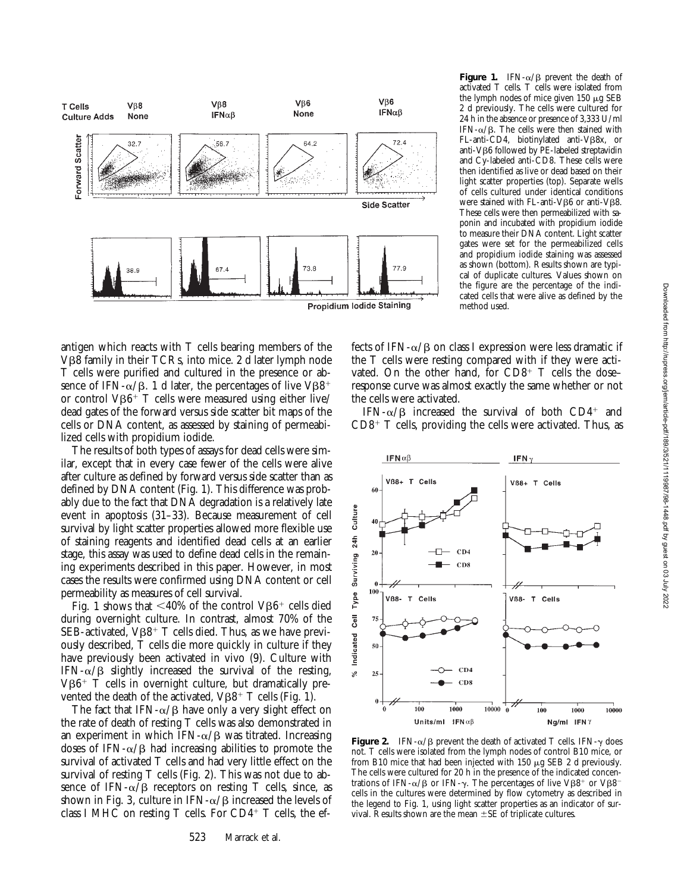

**Figure 1.** IFN- $\alpha$ / $\beta$  prevent the death of activated T cells. T cells were isolated from the lymph nodes of mice given  $150 \mu$ g SEB 2 d previously. The cells were cultured for 24 h in the absence or presence of 3,333 U/ml IFN- $\alpha$ / $\beta$ . The cells were then stained with FL-anti-CD4, biotinylated anti-V<sub>B8x</sub>, or anti-Vβ6 followed by PE-labeled streptavidin and Cy-labeled anti-CD8. These cells were then identified as live or dead based on their light scatter properties (top). Separate wells of cells cultured under identical conditions were stained with FL-anti-V<sub>B6</sub> or anti-V<sub>B8</sub>. These cells were then permeabilized with saponin and incubated with propidium iodide to measure their DNA content. Light scatter gates were set for the permeabilized cells and propidium iodide staining was assessed as shown (bottom). Results shown are typical of duplicate cultures. Values shown on the figure are the percentage of the indicated cells that were alive as defined by the method used.

antigen which reacts with T cells bearing members of the V<sub>B8</sub> family in their TCRs, into mice. 2 d later lymph node T cells were purified and cultured in the presence or absence of IFN- $\alpha$ / $\beta$ . 1 d later, the percentages of live V $\beta\delta^+$ or control  $V\beta6$ <sup>+</sup> T cells were measured using either live/ dead gates of the forward versus side scatter bit maps of the cells or DNA content, as assessed by staining of permeabilized cells with propidium iodide.

The results of both types of assays for dead cells were similar, except that in every case fewer of the cells were alive after culture as defined by forward versus side scatter than as defined by DNA content (Fig. 1). This difference was probably due to the fact that DNA degradation is a relatively late event in apoptosis (31–33). Because measurement of cell survival by light scatter properties allowed more flexible use of staining reagents and identified dead cells at an earlier stage, this assay was used to define dead cells in the remaining experiments described in this paper. However, in most cases the results were confirmed using DNA content or cell permeability as measures of cell survival.

Fig. 1 shows that  $\langle 40\%$  of the control VB6<sup>+</sup> cells died during overnight culture. In contrast, almost 70% of the SEB-activated,  $V\beta8$ <sup>+</sup> T cells died. Thus, as we have previously described, T cells die more quickly in culture if they have previously been activated in vivo (9). Culture with IFN- $\alpha/\beta$  slightly increased the survival of the resting,  $V\beta6$ <sup>+</sup> T cells in overnight culture, but dramatically prevented the death of the activated,  $V\beta8$ <sup>+</sup> T cells (Fig. 1).

The fact that IFN- $\alpha$ / $\beta$  have only a very slight effect on the rate of death of resting T cells was also demonstrated in an experiment in which IFN- $\alpha$ / $\beta$  was titrated. Increasing doses of IFN- $\alpha$ / $\beta$  had increasing abilities to promote the survival of activated T cells and had very little effect on the survival of resting T cells (Fig. 2). This was not due to absence of IFN- $\alpha/\beta$  receptors on resting T cells, since, as shown in Fig. 3, culture in IFN- $\alpha$ / $\beta$  increased the levels of class I MHC on resting  $T$  cells. For CD4<sup>+</sup>  $T$  cells, the effects of IFN- $\alpha/\beta$  on class I expression were less dramatic if the T cells were resting compared with if they were activated. On the other hand, for  $CDB^+$  T cells the doseresponse curve was almost exactly the same whether or not the cells were activated.

IFN- $\alpha$ / $\beta$  increased the survival of both CD4<sup>+</sup> and  $CD8^+$  T cells, providing the cells were activated. Thus, as



**Figure 2.** IFN- $\alpha/\beta$  prevent the death of activated T cells. IFN- $\gamma$  does not. T cells were isolated from the lymph nodes of control B10 mice, or from B10 mice that had been injected with  $150 \mu g$  SEB 2 d previously. The cells were cultured for 20 h in the presence of the indicated concentrations of IFN- $\alpha$ / $\beta$  or IFN- $\gamma$ . The percentages of live V $\beta$ 8<sup>+</sup> or V $\beta$ 8<sup>-</sup> cells in the cultures were determined by flow cytometry as described in the legend to Fig. 1, using light scatter properties as an indicator of survival. Results shown are the mean  $\pm$ SE of triplicate cultures.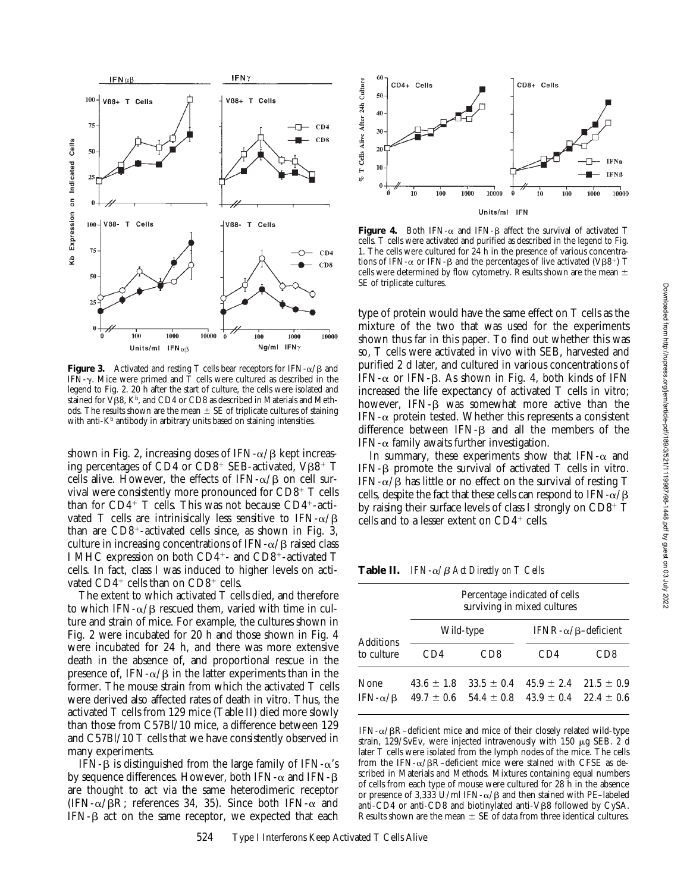

**Figure 3.** Activated and resting T cells bear receptors for IFN- $\alpha/\beta$  and IFN- $\gamma$ . Mice were primed and T cells were cultured as described in the legend to Fig. 2. 20 h after the start of culture, the cells were isolated and stained for  $V\beta8$ , K<sup>b</sup>, and CD4 or CD8 as described in Materials and Methods. The results shown are the mean  $\pm$  SE of triplicate cultures of staining with anti- $K<sup>b</sup>$  antibody in arbitrary units based on staining intensities.

shown in Fig. 2, increasing doses of IFN- $\alpha$ / $\beta$  kept increasing percentages of CD4 or  $CD8^+$  SEB-activated, VB8<sup>+</sup> T cells alive. However, the effects of IFN- $\alpha/\beta$  on cell survival were consistently more pronounced for  $CD8^+$  T cells than for  $CD4^+$  T cells. This was not because  $CD4^+$ -activated T cells are intrinisically less sensitive to IFN- $\alpha$ / $\beta$ than are  $CD8^+$ -activated cells since, as shown in Fig. 3, culture in increasing concentrations of IFN- $\alpha$ / $\beta$  raised class I MHC expression on both CD4<sup>+</sup>- and CD8<sup>+</sup>-activated T cells. In fact, class I was induced to higher levels on activated  $CD4^+$  cells than on  $CD8^+$  cells.

The extent to which activated T cells died, and therefore to which IFN- $\alpha$ / $\beta$  rescued them, varied with time in culture and strain of mice. For example, the cultures shown in Fig. 2 were incubated for 20 h and those shown in Fig. 4 were incubated for 24 h, and there was more extensive death in the absence of, and proportional rescue in the presence of, IFN- $\alpha/\beta$  in the latter experiments than in the former. The mouse strain from which the activated T cells were derived also affected rates of death in vitro. Thus, the activated T cells from 129 mice (Table II) died more slowly than those from C57Bl/10 mice, a difference between 129 and C57Bl/10 T cells that we have consistently observed in many experiments.

IFN- $\beta$  is distinguished from the large family of IFN- $\alpha$ 's by sequence differences. However, both IFN- $\alpha$  and IFN- $\beta$ are thought to act via the same heterodimeric receptor (IFN- $\alpha$ / $\beta$ R; references 34, 35). Since both IFN- $\alpha$  and  $IFN-\beta$  act on the same receptor, we expected that each



**Figure 4.** Both IFN- $\alpha$  and IFN- $\beta$  affect the survival of activated T cells. T cells were activated and purified as described in the legend to Fig. 1. The cells were cultured for 24 h in the presence of various concentrations of IFN- $\alpha$  or IFN- $\beta$  and the percentages of live activated (V $\beta\beta^+$ ) T cells were determined by flow cytometry. Results shown are the mean  $\pm$ SE of triplicate cultures.

type of protein would have the same effect on T cells as the mixture of the two that was used for the experiments shown thus far in this paper. To find out whether this was so, T cells were activated in vivo with SEB, harvested and purified 2 d later, and cultured in various concentrations of IFN- $\alpha$  or IFN- $\beta$ . As shown in Fig. 4, both kinds of IFN increased the life expectancy of activated T cells in vitro; however, IFN- $\beta$  was somewhat more active than the IFN- $\alpha$  protein tested. Whether this represents a consistent difference between IFN- $\beta$  and all the members of the IFN- $\alpha$  family awaits further investigation.

In summary, these experiments show that IFN- $\alpha$  and IFN- $\beta$  promote the survival of activated T cells in vitro. IFN- $\alpha/\beta$  has little or no effect on the survival of resting T cells, despite the fact that these cells can respond to IFN- $\alpha$ / $\beta$ by raising their surface levels of class I strongly on  $CD8^+$  T cells and to a lesser extent on  $CD4^+$  cells.

**Table II.** *IFN-* $\alpha$ */* $\beta$  *Act Directly on T Cells* 

|                                 | Percentage indicated of cells<br>surviving in mixed cultures |                                  |                                 |                                  |
|---------------------------------|--------------------------------------------------------------|----------------------------------|---------------------------------|----------------------------------|
|                                 | Wild-type                                                    |                                  | IFNR- $\alpha/\beta$ -deficient |                                  |
| <b>Additions</b><br>to culture  | CD4                                                          | CD8                              | CD4                             | CD8                              |
| None<br>IFN- $\alpha$ / $\beta$ | $43.6 \pm 1.8$<br>$49.7 \pm 0.6$                             | $33.5 \pm 0.4$<br>$54.4 \pm 0.8$ | $45.9 + 2.4$<br>$43.9 \pm 0.4$  | $21.5 \pm 0.9$<br>$22.4 \pm 0.6$ |

IFN- $\alpha$ / $\beta$ R-deficient mice and mice of their closely related wild-type strain,  $129/SvEv$ , were injected intravenously with 150  $\mu$ g SEB. 2 d later T cells were isolated from the lymph nodes of the mice. The cells from the IFN- $\alpha$ / $\beta$ R-deficient mice were staIned with CFSE as described in Materials and Methods. Mixtures containing equal numbers of cells from each type of mouse were cultured for 28 h in the absence or presence of 3,333 U/ml IFN- $\alpha$ / $\beta$  and then stained with PE–labeled anti-CD4 or anti-CD8 and biotinylated anti-V $\beta$ 8 followed by CySA. Results shown are the mean  $\pm$  SE of data from three identical cultures.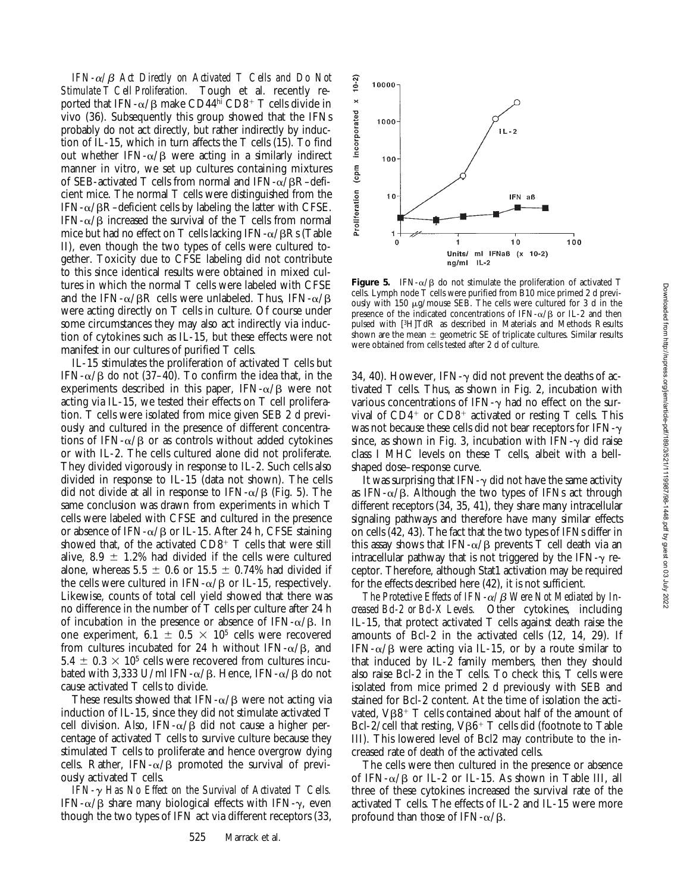*IFN-*a*/*b *Act Directly on Activated T Cells and Do Not Stimulate T Cell Proliferation.* Tough et al. recently reported that IFN- $\alpha$ / $\beta$  make CD44<sup>hi</sup> CD8<sup>+</sup> T cells divide in vivo (36). Subsequently this group showed that the IFNs probably do not act directly, but rather indirectly by induction of IL-15, which in turn affects the T cells (15). To find out whether IFN- $\alpha$ / $\beta$  were acting in a similarly indirect manner in vitro, we set up cultures containing mixtures of SEB-activated T cells from normal and IFN- $\alpha$ /BR–deficient mice. The normal T cells were distinguished from the  $IFN-\alpha/BR$ –deficient cells by labeling the latter with CFSE. IFN- $\alpha$ / $\beta$  increased the survival of the T cells from normal mice but had no effect on T cells lacking IFN- $\alpha$ / $\beta$ Rs (Table II), even though the two types of cells were cultured together. Toxicity due to CFSE labeling did not contribute to this since identical results were obtained in mixed cultures in which the normal T cells were labeled with CFSE and the IFN- $\alpha$ / $\beta$ R cells were unlabeled. Thus, IFN- $\alpha$ / $\beta$ were acting directly on T cells in culture. Of course under some circumstances they may also act indirectly via induction of cytokines such as IL-15, but these effects were not manifest in our cultures of purified T cells.

IL-15 stimulates the proliferation of activated T cells but IFN- $\alpha$ / $\beta$  do not (37–40). To confirm the idea that, in the experiments described in this paper, IFN- $\alpha$ / $\beta$  were not acting via IL-15, we tested their effects on T cell proliferation. T cells were isolated from mice given SEB 2 d previously and cultured in the presence of different concentrations of IFN- $\alpha/\beta$  or as controls without added cytokines or with IL-2. The cells cultured alone did not proliferate. They divided vigorously in response to IL-2. Such cells also divided in response to IL-15 (data not shown). The cells did not divide at all in response to IFN- $\alpha$ / $\beta$  (Fig. 5). The same conclusion was drawn from experiments in which T cells were labeled with CFSE and cultured in the presence or absence of IFN- $\alpha$ / $\beta$  or IL-15. After 24 h, CFSE staining showed that, of the activated  $CD8^+$  T cells that were still alive, 8.9  $\pm$  1.2% had divided if the cells were cultured alone, whereas  $5.5 \pm 0.6$  or  $15.5 \pm 0.74\%$  had divided if the cells were cultured in IFN- $\alpha$ / $\beta$  or IL-15, respectively. Likewise, counts of total cell yield showed that there was no difference in the number of T cells per culture after 24 h of incubation in the presence or absence of IFN- $\alpha$ / $\beta$ . In one experiment, 6.1  $\pm$  0.5  $\times$  10<sup>5</sup> cells were recovered from cultures incubated for 24 h without IFN- $\alpha$ / $\beta$ , and  $5.4 \pm 0.3 \times 10^5$  cells were recovered from cultures incubated with 3,333 U/ml IFN- $\alpha/\beta$ . Hence, IFN- $\alpha/\beta$  do not cause activated T cells to divide.

These results showed that IFN- $\alpha$ / $\beta$  were not acting via induction of IL-15, since they did not stimulate activated T cell division. Also, IFN- $\alpha$ / $\beta$  did not cause a higher percentage of activated T cells to survive culture because they stimulated T cells to proliferate and hence overgrow dying cells. Rather, IFN- $\alpha$ / $\beta$  promoted the survival of previously activated T cells.

*IFN-*g *Has No Effect on the Survival of Activated T Cells.* IFN- $\alpha/\beta$  share many biological effects with IFN- $\gamma$ , even though the two types of IFN act via different receptors (33,



**Figure 5.** IFN- $\alpha$ / $\beta$  do not stimulate the proliferation of activated T cells. Lymph node T cells were purified from B10 mice primed 2 d previously with 150 mg/mouse SEB. The cells were cultured for 3 d in the presence of the indicated concentrations of IFN- $\alpha$ / $\beta$  or IL-2 and then pulsed with [3H]TdR as described in Materials and Methods Results shown are the mean  $\pm$  geometric SE of triplicate cultures. Similar results were obtained from cells tested after 2 d of culture.

34, 40). However, IFN- $\gamma$  did not prevent the deaths of activated T cells. Thus, as shown in Fig. 2, incubation with various concentrations of IFN- $\gamma$  had no effect on the survival of  $CD4^+$  or  $CD8^+$  activated or resting T cells. This was not because these cells did not bear receptors for IFN- $\gamma$ since, as shown in Fig. 3, incubation with  $IFN-\gamma$  did raise class I MHC levels on these T cells, albeit with a bellshaped dose–response curve.

It was surprising that IFN- $\gamma$  did not have the same activity as IFN- $\alpha/\beta$ . Although the two types of IFNs act through different receptors (34, 35, 41), they share many intracellular signaling pathways and therefore have many similar effects on cells (42, 43). The fact that the two types of IFNs differ in this assay shows that IFN- $\alpha$ / $\beta$  prevents T cell death via an intracellular pathway that is not triggered by the IFN- $\gamma$  receptor. Therefore, although Stat1 activation may be required for the effects described here (42), it is not sufficient.

The Protective Effects of IFN- $\alpha$ / $\beta$  Were Not Mediated by In*creased Bcl-2 or Bcl-X Levels.* Other cytokines, including IL-15, that protect activated T cells against death raise the amounts of Bcl-2 in the activated cells (12, 14, 29). If IFN- $\alpha/\beta$  were acting via IL-15, or by a route similar to that induced by IL-2 family members, then they should also raise Bcl-2 in the T cells. To check this, T cells were isolated from mice primed 2 d previously with SEB and stained for Bcl-2 content. At the time of isolation the activated,  $V\beta8$ <sup>+</sup> T cells contained about half of the amount of Bcl-2/cell that resting,  $V\beta6+T$  cells did (footnote to Table III). This lowered level of Bcl2 may contribute to the increased rate of death of the activated cells.

The cells were then cultured in the presence or absence of IFN- $\alpha$ / $\beta$  or IL-2 or IL-15. As shown in Table III, all three of these cytokines increased the survival rate of the activated T cells. The effects of IL-2 and IL-15 were more profound than those of IFN- $\alpha$ / $\beta$ .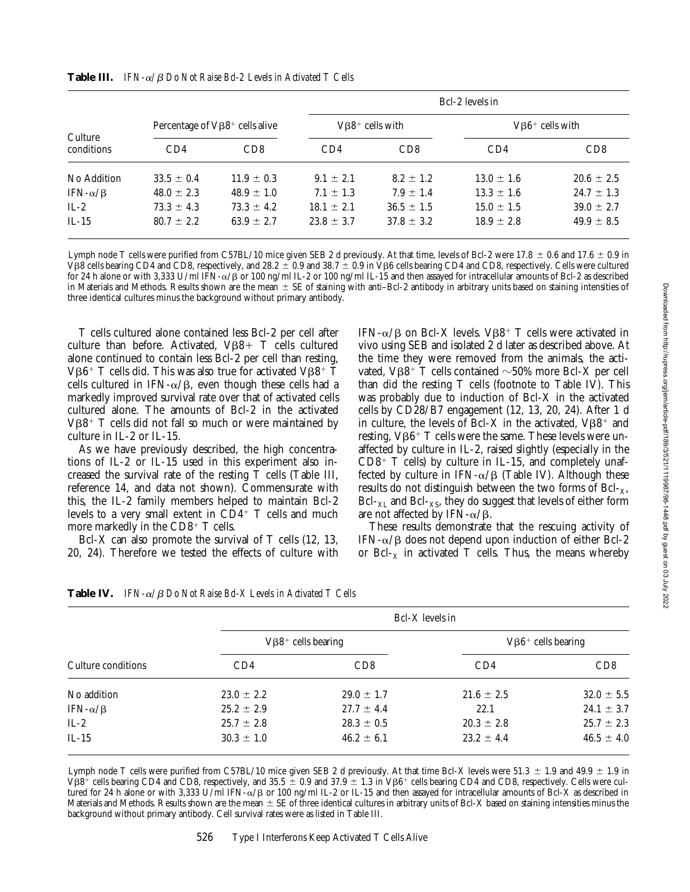|                       |                                       |                |                                   | Bcl-2 levels in |                         |                |  |
|-----------------------|---------------------------------------|----------------|-----------------------------------|-----------------|-------------------------|----------------|--|
|                       | Percentage of $V\beta8^+$ cells alive |                | $V\beta8$ <sup>+</sup> cells with |                 | $V\beta 6^+$ cells with |                |  |
| Culture<br>conditions | CD4                                   | CD8            | CD4                               | CD8             | CD4                     | CD8            |  |
| No Addition           | $33.5 \pm 0.4$                        | $11.9 \pm 0.3$ | $9.1 \pm 2.1$                     | $8.2 \pm 1.2$   | $13.0 \pm 1.6$          | $20.6 \pm 2.5$ |  |
| IFN- $\alpha/\beta$   | $48.0 \pm 2.3$                        | $48.9 \pm 1.0$ | $7.1 \pm 1.3$                     | $7.9 \pm 1.4$   | $13.3 \pm 1.6$          | $24.7 \pm 1.3$ |  |
| $IL-2$                | $73.3 \pm 4.3$                        | $73.3 \pm 4.2$ | $18.1 \pm 2.1$                    | $36.5 \pm 1.5$  | $15.0 \pm 1.5$          | $39.0 \pm 2.7$ |  |
| $IL-15$               | $80.7 \pm 2.2$                        | $63.9 \pm 2.7$ | $23.8 \pm 3.7$                    | $37.8 \pm 3.2$  | $18.9 \pm 2.8$          | $49.9 \pm 8.5$ |  |

**Table III.** *IFN-*a*/*b *Do Not Raise Bcl-2 Levels in Activated T Cells*

Lymph node T cells were purified from C57BL/10 mice given SEB 2 d previously. At that time, levels of Bcl-2 were 17.8  $\pm$  0.6 and 17.6  $\pm$  0.9 in VB8 cells bearing CD4 and CD8, respectively, and 28.2  $\pm$  0.9 and 38.7  $\pm$  0.9 in VB6 cells bearing CD4 and CD8, respectively. Cells were cultured for 24 h alone or with 3,333 U/ml IFN-a/b or 100 ng/ml IL-2 or 100 ng/ml IL-15 and then assayed for intracellular amounts of Bcl-2 as described in Materials and Methods. Results shown are the mean  $\pm$  SE of staining with anti–Bcl-2 antibody in arbitrary units based on staining intensities of three identical cultures minus the background without primary antibody.

T cells cultured alone contained less Bcl-2 per cell after culture than before. Activated,  $V\beta8+T$  cells cultured alone continued to contain less Bcl-2 per cell than resting,  $V\beta6^+$  T cells did. This was also true for activated V $\beta8^+$  T cells cultured in IFN- $\alpha/\beta$ , even though these cells had a markedly improved survival rate over that of activated cells cultured alone. The amounts of Bcl-2 in the activated  $V\beta8$ <sup>+</sup> T cells did not fall so much or were maintained by culture in IL-2 or IL-15.

As we have previously described, the high concentrations of IL-2 or IL-15 used in this experiment also increased the survival rate of the resting T cells (Table III, reference 14, and data not shown). Commensurate with this, the IL-2 family members helped to maintain Bcl-2 levels to a very small extent in  $CD4^+$  T cells and much more markedly in the  $CD8^+$  T cells.

Bcl-X can also promote the survival of T cells (12, 13, 20, 24). Therefore we tested the effects of culture with

IFN- $\alpha/\beta$  on Bcl-X levels. V $\beta\beta^+$  T cells were activated in vivo using SEB and isolated 2 d later as described above. At the time they were removed from the animals, the activated,  $V\beta8$ <sup>+</sup> T cells contained  $\sim$ 50% more Bcl-X per cell than did the resting T cells (footnote to Table IV). This was probably due to induction of Bcl-X in the activated cells by CD28/B7 engagement (12, 13, 20, 24). After 1 d in culture, the levels of Bcl-X in the activated,  $V\beta8^+$  and resting,  $V\beta6^+$  T cells were the same. These levels were unaffected by culture in IL-2, raised slightly (especially in the  $CD8^+$  T cells) by culture in IL-15, and completely unaffected by culture in IFN- $\alpha$ / $\beta$  (Table IV). Although these results do not distinguish between the two forms of  $Bcl_{X}$ ,  $Bcl_{XL}$  and  $Bcl_{XS}$ , they do suggest that levels of either form are not affected by IFN- $\alpha$ / $\beta$ .

These results demonstrate that the rescuing activity of IFN- $\alpha/\beta$  does not depend upon induction of either Bcl-2 or Bcl- $<sub>X</sub>$  in activated T cells. Thus, the means whereby</sub>

|                     | Bcl-X levels in                      |                 |                            |                |
|---------------------|--------------------------------------|-----------------|----------------------------|----------------|
|                     | $V\beta8$ <sup>+</sup> cells bearing |                 | $V\beta 6^+$ cells bearing |                |
| Culture conditions  | CD4                                  | CD <sub>8</sub> | CD4                        | CD8            |
| No addition         | $23.0 \pm 2.2$                       | $29.0 \pm 1.7$  | $21.6 \pm 2.5$             | $32.0 \pm 5.5$ |
| IFN- $\alpha/\beta$ | $25.2 \pm 2.9$                       | $27.7 \pm 4.4$  | 22.1                       | $24.1 \pm 3.7$ |
| $IL-2$              | $25.7 \pm 2.8$                       | $28.3 \pm 0.5$  | $20.3 \pm 2.8$             | $25.7 \pm 2.3$ |
| $IL-15$             | $30.3 \pm 1.0$                       | $46.2 \pm 6.1$  | $23.2 \pm 4.4$             | $46.5 \pm 4.0$ |

**Table IV.** *IFN-*a*/*b *Do Not Raise Bcl-X Levels in Activated T Cells*

Lymph node T cells were purified from C57BL/10 mice given SEB 2 d previously. At that time Bcl-X levels were 51.3  $\pm$  1.9 and 49.9  $\pm$  1.9 in V $\beta$ 8<sup>+</sup> cells bearing CD4 and CD8, respectively, and 35.5  $\pm$  0.9 and 37.9  $\pm$  1.3 in V $\beta$ 6<sup>+</sup> cells bearing CD4 and CD8, respectively. Cells were cultured for 24 h alone or with 3,333 U/ml IFN-a/b or 100 ng/ml IL-2 or IL-15 and then assayed for intracellular amounts of Bcl-X as described in Materials and Methods. Results shown are the mean  $\pm$  SE of three identical cultures in arbitrary units of Bcl-X based on staining intensities minus the background without primary antibody. Cell survival rates were as listed in Table III.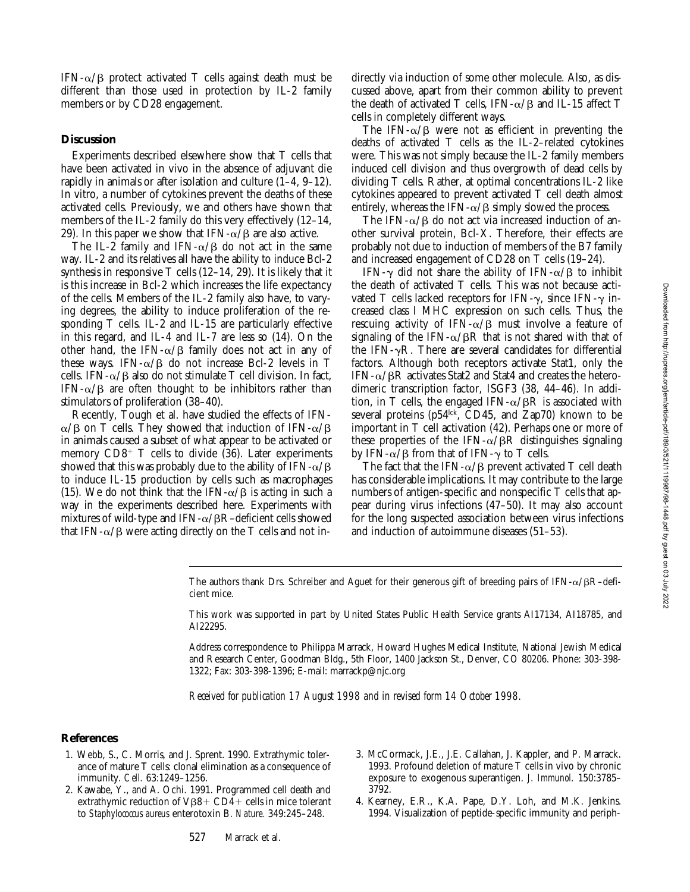IFN- $\alpha/\beta$  protect activated T cells against death must be different than those used in protection by IL-2 family members or by CD28 engagement.

### **Discussion**

Experiments described elsewhere show that T cells that have been activated in vivo in the absence of adjuvant die rapidly in animals or after isolation and culture (1–4, 9–12). In vitro, a number of cytokines prevent the deaths of these activated cells. Previously, we and others have shown that members of the IL-2 family do this very effectively (12–14, 29). In this paper we show that IFN- $\alpha/\beta$  are also active.

The IL-2 family and IFN- $\alpha/\beta$  do not act in the same way. IL-2 and its relatives all have the ability to induce Bcl-2 synthesis in responsive T cells (12–14, 29). It is likely that it is this increase in Bcl-2 which increases the life expectancy of the cells. Members of the IL-2 family also have, to varying degrees, the ability to induce proliferation of the responding T cells. IL-2 and IL-15 are particularly effective in this regard, and IL-4 and IL-7 are less so (14). On the other hand, the IFN- $\alpha$ / $\beta$  family does not act in any of these ways. IFN- $\alpha$ / $\beta$  do not increase Bcl-2 levels in T cells. IFN- $\alpha$ / $\beta$  also do not stimulate T cell division. In fact, IFN- $\alpha$ / $\beta$  are often thought to be inhibitors rather than stimulators of proliferation (38–40).

Recently, Tough et al. have studied the effects of IFN- $\alpha/\beta$  on T cells. They showed that induction of IFN- $\alpha/\beta$ in animals caused a subset of what appear to be activated or memory  $CD8^+$  T cells to divide (36). Later experiments showed that this was probably due to the ability of IFN- $\alpha$ /B to induce IL-15 production by cells such as macrophages (15). We do not think that the IFN- $\alpha/\beta$  is acting in such a way in the experiments described here. Experiments with mixtures of wild-type and IFN- $\alpha$ / $\beta$ R–deficient cells showed that IFN- $\alpha$ / $\beta$  were acting directly on the T cells and not indirectly via induction of some other molecule. Also, as discussed above, apart from their common ability to prevent the death of activated T cells, IFN- $\alpha$ / $\beta$  and IL-15 affect T cells in completely different ways.

The IFN- $\alpha/\beta$  were not as efficient in preventing the deaths of activated T cells as the IL-2–related cytokines were. This was not simply because the IL-2 family members induced cell division and thus overgrowth of dead cells by dividing T cells. Rather, at optimal concentrations IL-2 like cytokines appeared to prevent activated T cell death almost entirely, whereas the IFN- $\alpha$ / $\beta$  simply slowed the process.

The IFN- $\alpha$ / $\beta$  do not act via increased induction of another survival protein, Bcl-X. Therefore, their effects are probably not due to induction of members of the B7 family and increased engagement of CD28 on T cells (19–24).

IFN- $\gamma$  did not share the ability of IFN- $\alpha/\beta$  to inhibit the death of activated T cells. This was not because activated T cells lacked receptors for IFN- $\gamma$ , since IFN- $\gamma$  increased class I MHC expression on such cells. Thus, the rescuing activity of IFN- $\alpha$ / $\beta$  must involve a feature of signaling of the IFN- $\alpha$ / $\beta$ R that is not shared with that of the IFN- $\gamma$ R. There are several candidates for differential factors. Although both receptors activate Stat1, only the IFN- $\alpha$ / $\beta$ R activates Stat2 and Stat4 and creates the heterodimeric transcription factor, ISGF3 (38, 44–46). In addition, in T cells, the engaged IFN- $\alpha$ / $\beta$ R is associated with several proteins ( $p54$ <sup> $\text{ck}$ </sup>, CD45, and Zap70) known to be important in T cell activation (42). Perhaps one or more of these properties of the IFN- $\alpha$ / $\beta$ R distinguishes signaling by IFN- $\alpha$ / $\beta$  from that of IFN- $\gamma$  to T cells.

The fact that the IFN- $\alpha$ / $\beta$  prevent activated T cell death has considerable implications. It may contribute to the large numbers of antigen-specific and nonspecific T cells that appear during virus infections (47–50). It may also account for the long suspected association between virus infections and induction of autoimmune diseases (51–53).

The authors thank Drs. Schreiber and Aguet for their generous gift of breeding pairs of IFN- $\alpha$ / $\beta$ R–deficient mice.

This work was supported in part by United States Public Health Service grants AI17134, AI18785, and AI22295.

Address correspondence to Philippa Marrack, Howard Hughes Medical Institute, National Jewish Medical and Research Center, Goodman Bldg., 5th Floor, 1400 Jackson St., Denver, CO 80206. Phone: 303-398- 1322; Fax: 303-398-1396; E-mail: marrackp@njc.org

*Received for publication 17 August 1998 and in revised form 14 October 1998.*

# **References**

- 1. Webb, S., C. Morris, and J. Sprent. 1990. Extrathymic tolerance of mature T cells: clonal elimination as a consequence of immunity. *Cell.* 63:1249–1256.
- 2. Kawabe, Y., and A. Ochi. 1991. Programmed cell death and extrathymic reduction of  $V\beta8+CD4+$  cells in mice tolerant to *Staphylococcus aureus* enterotoxin B. *Nature.* 349:245–248.
- 3. McCormack, J.E., J.E. Callahan, J. Kappler, and P. Marrack. 1993. Profound deletion of mature T cells in vivo by chronic exposure to exogenous superantigen. *J. Immunol.* 150:3785– 3792.
- 4. Kearney, E.R., K.A. Pape, D.Y. Loh, and M.K. Jenkins. 1994. Visualization of peptide-specific immunity and periph-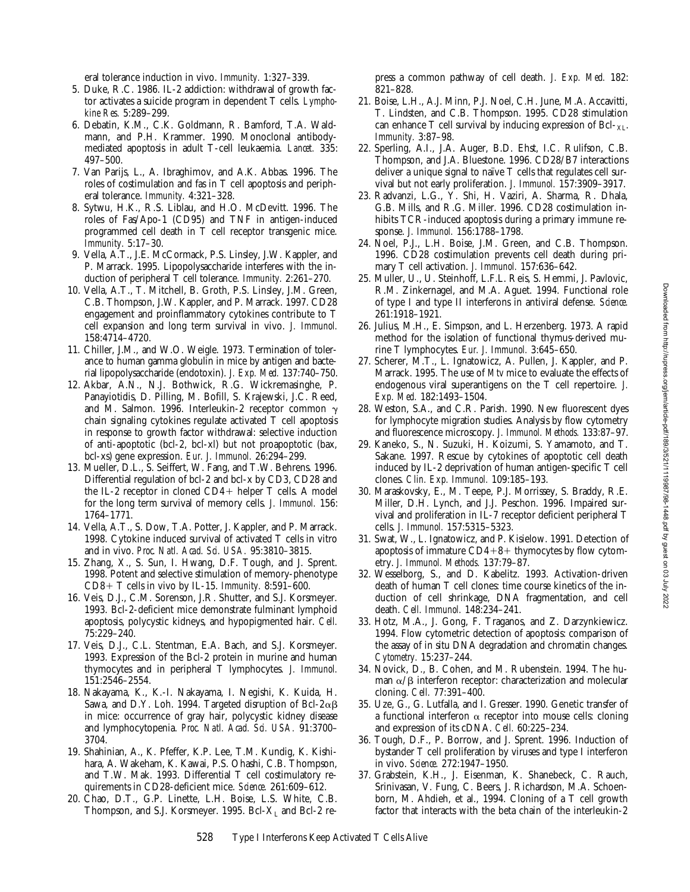eral tolerance induction in vivo. *Immunity.* 1:327–339.

- 5. Duke, R.C. 1986. IL-2 addiction: withdrawal of growth factor activates a suicide program in dependent T cells. *Lymphokine Res.* 5:289–299.
- 6. Debatin, K.M., C.K. Goldmann, R. Bamford, T.A. Waldmann, and P.H. Krammer. 1990. Monoclonal antibodymediated apoptosis in adult T-cell leukaemia. *Lancet.* 335: 497–500.
- 7. Van Parijs, L., A. Ibraghimov, and A.K. Abbas. 1996. The roles of costimulation and fas in T cell apoptosis and peripheral tolerance. *Immunity.* 4:321–328.
- 8. Sytwu, H.K., R.S. Liblau, and H.O. McDevitt. 1996. The roles of Fas/Apo-1 (CD95) and TNF in antigen-induced programmed cell death in T cell receptor transgenic mice. *Immunity.* 5:17–30.
- 9. Vella, A.T., J.E. McCormack, P.S. Linsley, J.W. Kappler, and P. Marrack. 1995. Lipopolysaccharide interferes with the induction of peripheral T cell tolerance. *Immunity.* 2:261–270.
- 10. Vella, A.T., T. Mitchell, B. Groth, P.S. Linsley, J.M. Green, C.B. Thompson, J.W. Kappler, and P. Marrack. 1997. CD28 engagement and proinflammatory cytokines contribute to T cell expansion and long term survival in vivo. *J. Immunol.* 158:4714–4720.
- 11. Chiller, J.M., and W.O. Weigle. 1973. Termination of tolerance to human gamma globulin in mice by antigen and bacterial lipopolysaccharide (endotoxin). *J. Exp. Med.* 137:740–750.
- 12. Akbar, A.N., N.J. Bothwick, R.G. Wickremasinghe, P. Panayiotidis, D. Pilling, M. Bofill, S. Krajewski, J.C. Reed, and M. Salmon. 1996. Interleukin-2 receptor common  $\gamma$ chain signaling cytokines regulate activated T cell apoptosis in response to growth factor withdrawal: selective induction of anti-apoptotic (bcl-2, bcl-xl) but not proapoptotic (bax, bcl-xs) gene expression. *Eur. J. Immunol.* 26:294–299.
- 13. Mueller, D.L., S. Seiffert, W. Fang, and T.W. Behrens. 1996. Differential regulation of bcl-2 and bcl-x by CD3, CD28 and the IL-2 receptor in cloned  $CD4+$  helper T cells. A model for the long term survival of memory cells. *J. Immunol.* 156: 1764–1771.
- 14. Vella, A.T., S. Dow, T.A. Potter, J. Kappler, and P. Marrack. 1998. Cytokine induced survival of activated T cells in vitro and in vivo. *Proc. Natl. Acad. Sci. USA.* 95:3810–3815.
- 15. Zhang, X., S. Sun, I. Hwang, D.F. Tough, and J. Sprent. 1998. Potent and selective stimulation of memory-phenotype CD8+ T cells in vivo by IL-15. *Immunity*. 8:591-600.
- 16. Veis, D.J., C.M. Sorenson, J.R. Shutter, and S.J. Korsmeyer. 1993. Bcl-2-deficient mice demonstrate fulminant lymphoid apoptosis, polycystic kidneys, and hypopigmented hair. *Cell.* 75:229–240.
- 17. Veis, D.J., C.L. Stentman, E.A. Bach, and S.J. Korsmeyer. 1993. Expression of the Bcl-2 protein in murine and human thymocytes and in peripheral T lymphocytes. *J. Immunol.* 151:2546–2554.
- 18. Nakayama, K., K.-I. Nakayama, I. Negishi, K. Kuida, H. Sawa, and D.Y. Loh. 1994. Targeted disruption of Bcl-2 $\alpha\beta$ in mice: occurrence of gray hair, polycystic kidney disease and lymphocytopenia. *Proc. Natl. Acad. Sci. USA.* 91:3700– 3704.
- 19. Shahinian, A., K. Pfeffer, K.P. Lee, T.M. Kundig, K. Kishihara, A. Wakeham, K. Kawai, P.S. Ohashi, C.B. Thompson, and T.W. Mak. 1993. Differential T cell costimulatory requirements in CD28-deficient mice. *Science.* 261:609–612.
- 20. Chao, D.T., G.P. Linette, L.H. Boise, L.S. White, C.B. Thompson, and S.J. Korsmeyer. 1995. Bcl- $X_L$  and Bcl-2 re-

press a common pathway of cell death. *J. Exp. Med.* 182: 821–828.

- 21. Boise, L.H., A.J. Minn, P.J. Noel, C.H. June, M.A. Accavitti, T. Lindsten, and C.B. Thompson. 1995. CD28 stimulation can enhance T cell survival by inducing expression of  $Bcl_{XL}$ . *Immunity.* 3:87–98.
- 22. Sperling, A.I., J.A. Auger, B.D. Ehst, I.C. Rulifson, C.B. Thompson, and J.A. Bluestone. 1996. CD28/B7 interactions deliver a unique signal to naïve T cells that regulates cell survival but not early proliferation. *J. Immunol.* 157:3909–3917.
- 23. Radvanzi, L.G., Y. Shi, H. Vaziri, A. Sharma, R. Dhala, G.B. Mills, and R.G. Miller. 1996. CD28 costimulation inhibits TCR-induced apoptosis during a primary immune response. *J. Immunol.* 156:1788–1798.
- 24. Noel, P.J., L.H. Boise, J.M. Green, and C.B. Thompson. 1996. CD28 costimulation prevents cell death during primary T cell activation. *J. Immunol.* 157:636–642.
- 25. Muller, U., U. Steinhoff, L.F.L. Reis, S. Hemmi, J. Pavlovic, R.M. Zinkernagel, and M.A. Aguet. 1994. Functional role of type I and type II interferons in antiviral defense. *Science.* 261:1918–1921.
- 26. Julius, M.H., E. Simpson, and L. Herzenberg. 1973. A rapid method for the isolation of functional thymus-derived murine T lymphocytes. *Eur. J. Immunol.* 3:645–650.
- 27. Scherer, M.T., L. Ignatowicz, A. Pullen, J. Kappler, and P. Marrack. 1995. The use of *Mtv* mice to evaluate the effects of endogenous viral superantigens on the T cell repertoire. *J. Exp. Med.* 182:1493–1504.
- 28. Weston, S.A., and C.R. Parish. 1990. New fluorescent dyes for lymphocyte migration studies. Analysis by flow cytometry and fluorescence microscopy. *J. Immunol. Methods.* 133:87–97.
- 29. Kaneko, S., N. Suzuki, H. Koizumi, S. Yamamoto, and T. Sakane. 1997. Rescue by cytokines of apoptotic cell death induced by IL-2 deprivation of human antigen-specific T cell clones. *Clin. Exp. Immunol.* 109:185–193.
- 30. Maraskovsky, E., M. Teepe, P.J. Morrissey, S. Braddy, R.E. Miller, D.H. Lynch, and J.J. Peschon. 1996. Impaired survival and proliferation in IL-7 receptor deficient peripheral T cells. *J. Immunol.* 157:5315–5323.
- 31. Swat, W., L. Ignatowicz, and P. Kisielow. 1991. Detection of apoptosis of immature  $CD4+8+$  thymocytes by flow cytometry. *J. Immunol. Methods.* 137:79–87.
- 32. Wesselborg, S., and D. Kabelitz. 1993. Activation-driven death of human T cell clones: time course kinetics of the induction of cell shrinkage, DNA fragmentation, and cell death. *Cell. Immunol.* 148:234–241.
- 33. Hotz, M.A., J. Gong, F. Traganos, and Z. Darzynkiewicz. 1994. Flow cytometric detection of apoptosis: comparison of the assay of in situ DNA degradation and chromatin changes. *Cytometry.* 15:237–244.
- 34. Novick, D., B. Cohen, and M. Rubenstein. 1994. The human  $\alpha/\beta$  interferon receptor: characterization and molecular cloning. *Cell.* 77:391–400.
- 35. Uze, G., G. Lutfalla, and I. Gresser. 1990. Genetic transfer of a functional interferon  $\alpha$  receptor into mouse cells: cloning and expression of its cDNA. *Cell.* 60:225–234.
- 36. Tough, D.F., P. Borrow, and J. Sprent. 1996. Induction of bystander T cell proliferation by viruses and type I interferon in vivo. *Science.* 272:1947–1950.
- 37. Grabstein, K.H., J. Eisenman, K. Shanebeck, C. Rauch, Srinivasan, V. Fung, C. Beers, J. Richardson, M.A. Schoenborn, M. Ahdieh, et al., 1994. Cloning of a T cell growth factor that interacts with the beta chain of the interleukin-2